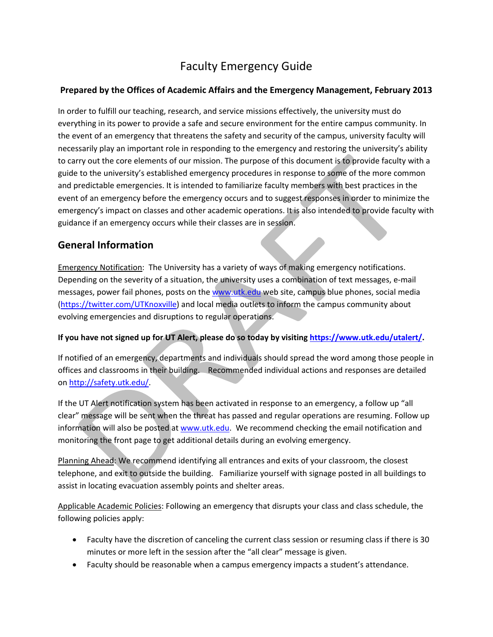# Faculty Emergency Guide

### **Prepared by the Offices of Academic Affairs and the Emergency Management, February 2013**

In order to fulfill our teaching, research, and service missions effectively, the university must do everything in its power to provide a safe and secure environment for the entire campus community. In the event of an emergency that threatens the safety and security of the campus, university faculty will necessarily play an important role in responding to the emergency and restoring the university's ability to carry out the core elements of our mission. The purpose of this document is to provide faculty with a guide to the university's established emergency procedures in response to some of the more common and predictable emergencies. It is intended to familiarize faculty members with best practices in the event of an emergency before the emergency occurs and to suggest responses in order to minimize the emergency's impact on classes and other academic operations. It is also intended to provide faculty with guidance if an emergency occurs while their classes are in session.

# **General Information**

Emergency Notification: The University has a variety of ways of making emergency notifications. Depending on the severity of a situation, the university uses a combination of text messages, e‐mail messages, power fail phones, posts on the www.utk.edu web site, campus blue phones, social media (https://twitter.com/UTKnoxville) and local media outlets to inform the campus community about evolving emergencies and disruptions to regular operations.

#### **If you have not signed up for UT Alert, please do so today by visiting https://www.utk.edu/utalert/.**

If notified of an emergency, departments and individuals should spread the word among those people in offices and classrooms in their building. Recommended individual actions and responses are detailed on http://safety.utk.edu/.

If the UT Alert notification system has been activated in response to an emergency, a follow up "all clear" message will be sent when the threat has passed and regular operations are resuming. Follow up information will also be posted at www.utk.edu. We recommend checking the email notification and monitoring the front page to get additional details during an evolving emergency.

Planning Ahead: We recommend identifying all entrances and exits of your classroom, the closest telephone, and exit to outside the building. Familiarize yourself with signage posted in all buildings to assist in locating evacuation assembly points and shelter areas.

Applicable Academic Policies: Following an emergency that disrupts your class and class schedule, the following policies apply:

- Faculty have the discretion of canceling the current class session or resuming class if there is 30 minutes or more left in the session after the "all clear" message is given.
- Faculty should be reasonable when a campus emergency impacts a student's attendance.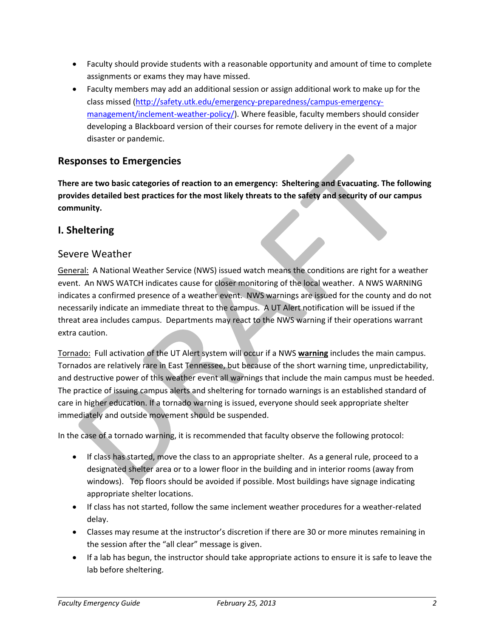- Faculty should provide students with a reasonable opportunity and amount of time to complete assignments or exams they may have missed.
- Faculty members may add an additional session or assign additional work to make up for the class missed (http://safety.utk.edu/emergency‐preparedness/campus‐emergency‐ management/inclement-weather-policy/). Where feasible, faculty members should consider developing a Blackboard version of their courses for remote delivery in the event of a major disaster or pandemic.

### **Responses to Emergencies**

**There are two basic categories of reaction to an emergency: Sheltering and Evacuating. The following provides detailed best practices for the most likely threats to the safety and security of our campus community.**

### **I. Sheltering**

#### Severe Weather

General: A National Weather Service (NWS) issued watch means the conditions are right for a weather event. An NWS WATCH indicates cause for closer monitoring of the local weather. A NWS WARNING indicates a confirmed presence of a weather event. NWS warnings are issued for the county and do not necessarily indicate an immediate threat to the campus. A UT Alert notification will be issued if the threat area includes campus. Departments may react to the NWS warning if their operations warrant extra caution.

Tornado: Full activation of the UT Alert system will occur if a NWS **warning** includes the main campus. Tornados are relatively rare in East Tennessee, but because of the short warning time, unpredictability, and destructive power of this weather event all warnings that include the main campus must be heeded. The practice of issuing campus alerts and sheltering for tornado warnings is an established standard of care in higher education. If a tornado warning is issued, everyone should seek appropriate shelter immediately and outside movement should be suspended.

In the case of a tornado warning, it is recommended that faculty observe the following protocol:

- If class has started, move the class to an appropriate shelter. As a general rule, proceed to a designated shelter area or to a lower floor in the building and in interior rooms (away from windows). Top floors should be avoided if possible. Most buildings have signage indicating appropriate shelter locations.
- If class has not started, follow the same inclement weather procedures for a weather‐related delay.
- Classes may resume at the instructor's discretion if there are 30 or more minutes remaining in the session after the "all clear" message is given.
- If a lab has begun, the instructor should take appropriate actions to ensure it is safe to leave the lab before sheltering.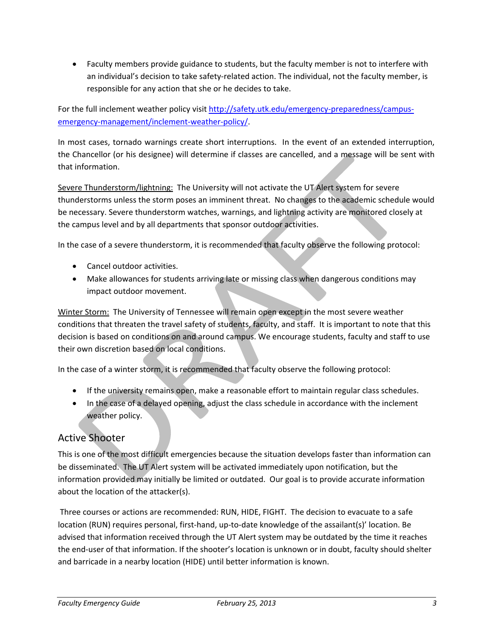• Faculty members provide guidance to students, but the faculty member is not to interfere with an individual's decision to take safety-related action. The individual, not the faculty member, is responsible for any action that she or he decides to take.

For the full inclement weather policy visit http://safety.utk.edu/emergency-preparedness/campusemergency-management/inclement-weather-policy/.

In most cases, tornado warnings create short interruptions. In the event of an extended interruption, the Chancellor (or his designee) will determine if classes are cancelled, and a message will be sent with that information.

Severe Thunderstorm/lightning: The University will not activate the UT Alert system for severe thunderstorms unless the storm poses an imminent threat. No changes to the academic schedule would be necessary. Severe thunderstorm watches, warnings, and lightning activity are monitored closely at the campus level and by all departments that sponsor outdoor activities.

In the case of a severe thunderstorm, it is recommended that faculty observe the following protocol:

- Cancel outdoor activities.
- Make allowances for students arriving late or missing class when dangerous conditions may impact outdoor movement.

Winter Storm: The University of Tennessee will remain open except in the most severe weather conditions that threaten the travel safety of students, faculty, and staff. It is important to note that this decision is based on conditions on and around campus. We encourage students, faculty and staff to use their own discretion based on local conditions.

In the case of a winter storm, it is recommended that faculty observe the following protocol:

- If the university remains open, make a reasonable effort to maintain regular class schedules.
- In the case of a delayed opening, adjust the class schedule in accordance with the inclement weather policy.

# Active Shooter

This is one of the most difficult emergencies because the situation develops faster than information can be disseminated. The UT Alert system will be activated immediately upon notification, but the information provided may initially be limited or outdated. Our goal is to provide accurate information about the location of the attacker(s).

Three courses or actions are recommended: RUN, HIDE, FIGHT. The decision to evacuate to a safe location (RUN) requires personal, first‐hand, up‐to‐date knowledge of the assailant(s)' location. Be advised that information received through the UT Alert system may be outdated by the time it reaches the end‐user of that information. If the shooter's location is unknown or in doubt, faculty should shelter and barricade in a nearby location (HIDE) until better information is known.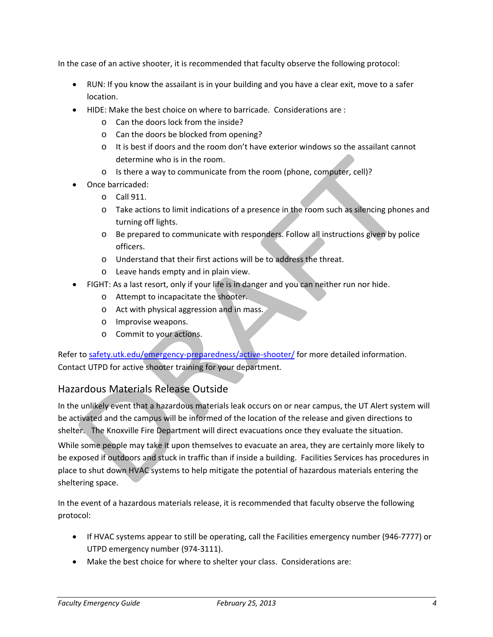In the case of an active shooter, it is recommended that faculty observe the following protocol:

- RUN: If you know the assailant is in your building and you have a clear exit, move to a safer location.
- HIDE: Make the best choice on where to barricade. Considerations are :
	- o Can the doors lock from the inside?
	- o Can the doors be blocked from opening?
	- o It is best if doors and the room don't have exterior windows so the assailant cannot determine who is in the room.
	- o Is there a way to communicate from the room (phone, computer, cell)?
- Once barricaded:
	- o Call 911.
	- o Take actions to limit indications of a presence in the room such as silencing phones and turning off lights.
	- o Be prepared to communicate with responders. Follow all instructions given by police officers.
	- o Understand that their first actions will be to address the threat.
	- o Leave hands empty and in plain view.
- FIGHT: As a last resort, only if your life is in danger and you can neither run nor hide.
	- o Attempt to incapacitate the shooter.
	- o Act with physical aggression and in mass.
	- o Improvise weapons.
	- o Commit to your actions.

Refer to safety.utk.edu/emergency-preparedness/active-shooter/ for more detailed information. Contact UTPD for active shooter training for your department.

## Hazardous Materials Release Outside

In the unlikely event that a hazardous materials leak occurs on or near campus, the UT Alert system will be activated and the campus will be informed of the location of the release and given directions to shelter. The Knoxville Fire Department will direct evacuations once they evaluate the situation. While some people may take it upon themselves to evacuate an area, they are certainly more likely to be exposed if outdoors and stuck in traffic than if inside a building. Facilities Services has procedures in place to shut down HVAC systems to help mitigate the potential of hazardous materials entering the sheltering space.

In the event of a hazardous materials release, it is recommended that faculty observe the following protocol:

- If HVAC systems appear to still be operating, call the Facilities emergency number (946‐7777) or UTPD emergency number (974‐3111).
- Make the best choice for where to shelter your class. Considerations are: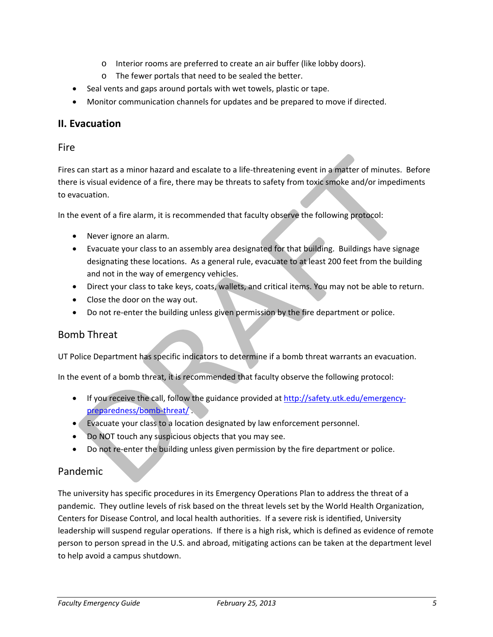- o Interior rooms are preferred to create an air buffer (like lobby doors).
- o The fewer portals that need to be sealed the better.
- Seal vents and gaps around portals with wet towels, plastic or tape.
- Monitor communication channels for updates and be prepared to move if directed.

### **II. Evacuation**

#### Fire

Fires can start as a minor hazard and escalate to a life-threatening event in a matter of minutes. Before there is visual evidence of a fire, there may be threats to safety from toxic smoke and/or impediments to evacuation.

In the event of a fire alarm, it is recommended that faculty observe the following protocol:

- Never ignore an alarm.
- Evacuate your class to an assembly area designated for that building. Buildings have signage designating these locations. As a general rule, evacuate to at least 200 feet from the building and not in the way of emergency vehicles.
- Direct your class to take keys, coats, wallets, and critical items. You may not be able to return.
- Close the door on the way out.
- Do not re-enter the building unless given permission by the fire department or police.

### Bomb Threat

UT Police Department has specific indicators to determine if a bomb threat warrants an evacuation.

In the event of a bomb threat, it is recommended that faculty observe the following protocol:

- If you receive the call, follow the guidance provided at http://safety.utk.edu/emergencypreparedness/bomb-threat/
- Evacuate your class to a location designated by law enforcement personnel.
- Do NOT touch any suspicious objects that you may see.
- Do not re-enter the building unless given permission by the fire department or police.

### Pandemic

The university has specific procedures in its Emergency Operations Plan to address the threat of a pandemic. They outline levels of risk based on the threat levels set by the World Health Organization, Centers for Disease Control, and local health authorities. If a severe risk is identified, University leadership will suspend regular operations. If there is a high risk, which is defined as evidence of remote person to person spread in the U.S. and abroad, mitigating actions can be taken at the department level to help avoid a campus shutdown.